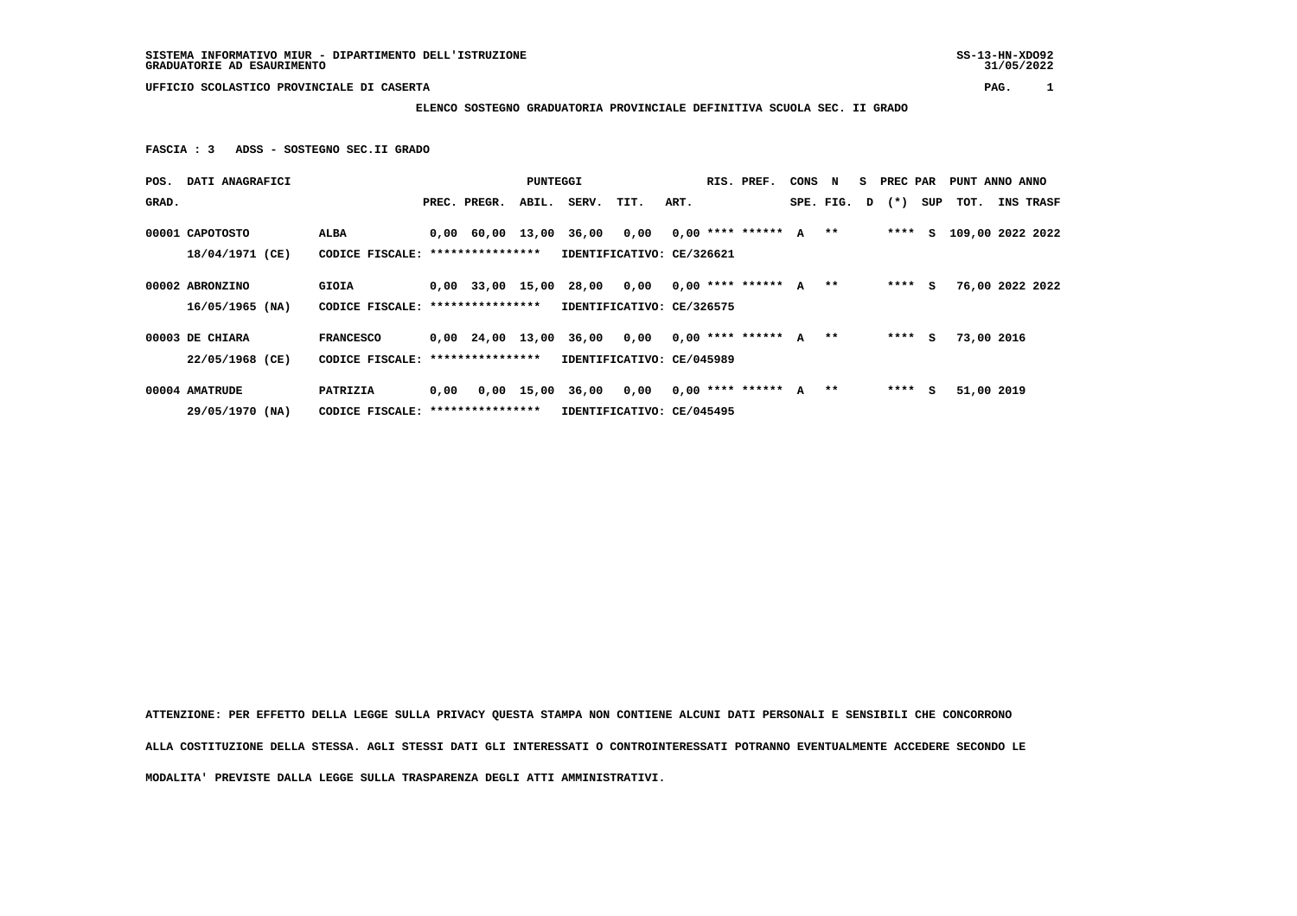**UFFICIO SCOLASTICO PROVINCIALE DI CASERTA PAG. 1**

 **ELENCO SOSTEGNO GRADUATORIA PROVINCIALE DEFINITIVA SCUOLA SEC. II GRADO**

 **FASCIA : 3 ADSS - SOSTEGNO SEC.II GRADO**

| POS.  | DATI ANAGRAFICI                    |                                                       |      |                  | PUNTEGGI | RIS. PREF.                                                                    |                           |      |  |                      | CONS | N         | s. | PREC PAR |     | PUNT ANNO ANNO   |           |
|-------|------------------------------------|-------------------------------------------------------|------|------------------|----------|-------------------------------------------------------------------------------|---------------------------|------|--|----------------------|------|-----------|----|----------|-----|------------------|-----------|
| GRAD. |                                    |                                                       |      | PREC. PREGR.     | ABIL.    | SERV.                                                                         | TIT.                      | ART. |  |                      |      | SPE. FIG. | D  | $(*)$    | SUP | тот.             | INS TRASF |
|       | 00001 CAPOTOSTO<br>18/04/1971 (CE) | ALBA<br>CODICE FISCALE:                               |      | **************** |          | 0,00 60,00 13,00 36,00 0,00                                                   | IDENTIFICATIVO: CE/326621 |      |  | $0.00$ **** ****** A |      | $***$     |    | ****     | S.  | 109,00 2022 2022 |           |
|       | 00002 ABRONZINO<br>16/05/1965 (NA) | GIOIA<br>CODICE FISCALE:                              |      | **************** |          | $0,00$ 33,00 15,00 28,00 0,00 0,00 **** ****** A<br>IDENTIFICATIVO: CE/326575 |                           |      |  |                      |      | $***$     |    | $***$ S  |     | 76,00 2022 2022  |           |
|       | 00003 DE CHIARA<br>22/05/1968 (CE) | <b>FRANCESCO</b><br>CODICE FISCALE: ***************** |      |                  |          | 0,00 24,00 13,00 36,00 0,00<br>IDENTIFICATIVO: CE/045989                      |                           |      |  | $0,00$ **** ****** A |      | $***$     |    | ****     | s   | 73,00 2016       |           |
|       | 00004 AMATRUDE<br>29/05/1970 (NA)  | PATRIZIA<br>CODICE FISCALE: *****************         | 0.00 |                  |          | $0,00$ 15,00 36,00 0,00                                                       | IDENTIFICATIVO: CE/045495 |      |  | $0,00$ **** ****** A |      | $**$      |    | ****     | s   | 51,00 2019       |           |

 **ATTENZIONE: PER EFFETTO DELLA LEGGE SULLA PRIVACY QUESTA STAMPA NON CONTIENE ALCUNI DATI PERSONALI E SENSIBILI CHE CONCORRONO ALLA COSTITUZIONE DELLA STESSA. AGLI STESSI DATI GLI INTERESSATI O CONTROINTERESSATI POTRANNO EVENTUALMENTE ACCEDERE SECONDO LE MODALITA' PREVISTE DALLA LEGGE SULLA TRASPARENZA DEGLI ATTI AMMINISTRATIVI.**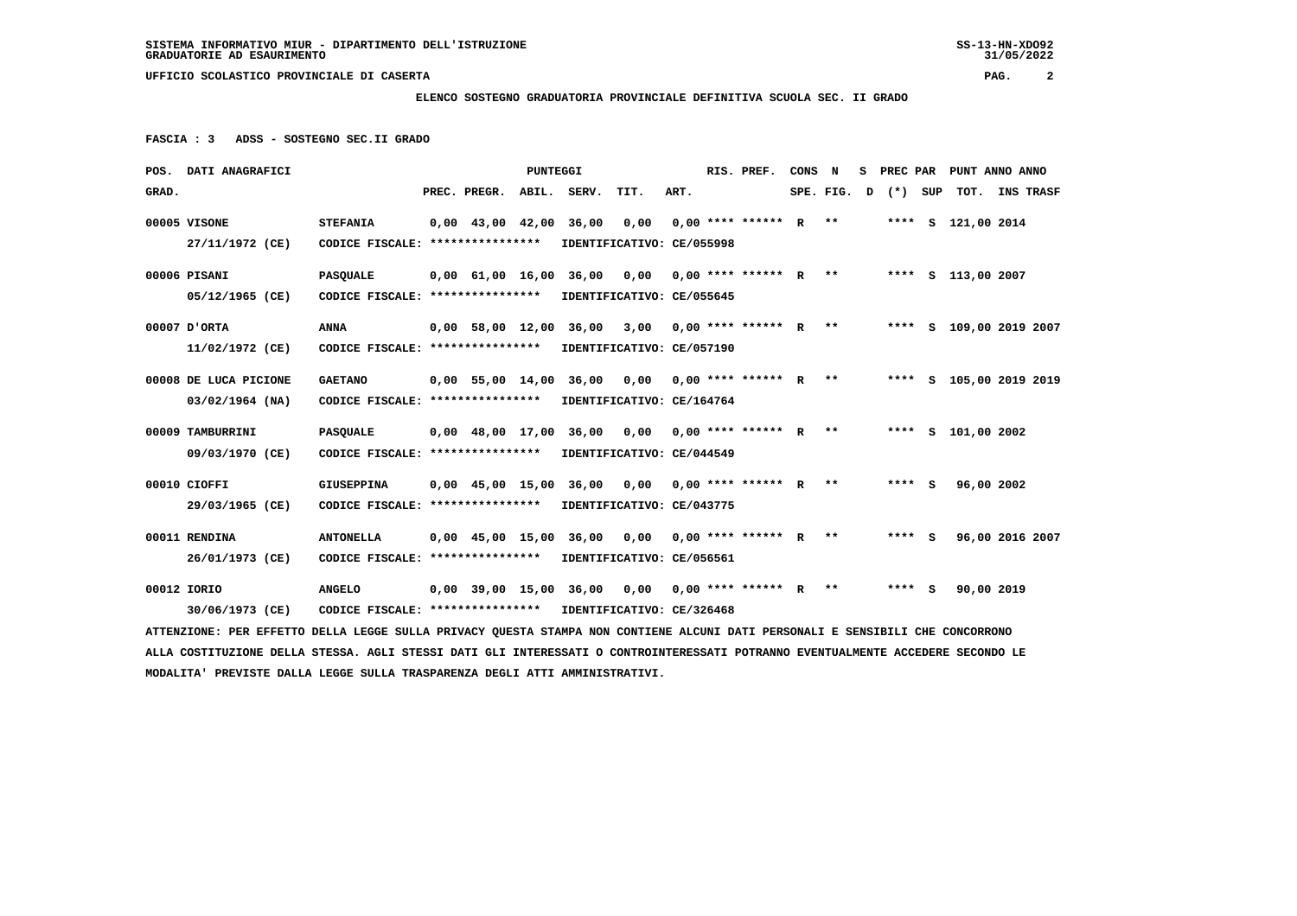**UFFICIO SCOLASTICO PROVINCIALE DI CASERTA PAG. 2**

## **ELENCO SOSTEGNO GRADUATORIA PROVINCIALE DEFINITIVA SCUOLA SEC. II GRADO**

 **FASCIA : 3 ADSS - SOSTEGNO SEC.II GRADO**

| POS. DATI ANAGRAFICI                                                                                                            | PUNTEGGI                                                   |                                   |                                            |                           |                                                                        |      |      |  | RIS. PREF.                   |  |  | s | PREC PAR PUNT ANNO ANNO |  |                    |                         |
|---------------------------------------------------------------------------------------------------------------------------------|------------------------------------------------------------|-----------------------------------|--------------------------------------------|---------------------------|------------------------------------------------------------------------|------|------|--|------------------------------|--|--|---|-------------------------|--|--------------------|-------------------------|
| GRAD.                                                                                                                           |                                                            |                                   | PREC. PREGR. ABIL. SERV.                   |                           |                                                                        | TIT. | ART. |  |                              |  |  |   | SPE. FIG. $D$ $(*)$ SUP |  |                    | TOT. INS TRASF          |
| 00005 VISONE                                                                                                                    | <b>STEFANIA</b>                                            |                                   | $0.00 \quad 43.00 \quad 42.00 \quad 36.00$ |                           |                                                                        | 0.00 |      |  | $0,00$ **** ****** R **      |  |  |   |                         |  | **** S 121,00 2014 |                         |
| 27/11/1972 (CE)                                                                                                                 |                                                            |                                   | CODICE FISCALE: *****************          |                           | IDENTIFICATIVO: CE/055998                                              |      |      |  |                              |  |  |   |                         |  |                    |                         |
| 00006 PISANI                                                                                                                    | <b>PASQUALE</b>                                            |                                   |                                            |                           | 0,00 61,00 16,00 36,00 0,00 0,00 **** ****** R ** ***** \$ 113,00 2007 |      |      |  |                              |  |  |   |                         |  |                    |                         |
| 05/12/1965 (CE)                                                                                                                 |                                                            | CODICE FISCALE: ***************** |                                            | IDENTIFICATIVO: CE/055645 |                                                                        |      |      |  |                              |  |  |   |                         |  |                    |                         |
| 00007 D'ORTA                                                                                                                    | <b>ANNA</b>                                                |                                   |                                            |                           | 0,00 58,00 12,00 36,00 3,00                                            |      |      |  | $0.00$ **** ****** R **      |  |  |   |                         |  |                    | **** S 109,00 2019 2007 |
| 11/02/1972 (CE)                                                                                                                 |                                                            | CODICE FISCALE: ****************  |                                            |                           | IDENTIFICATIVO: CE/057190                                              |      |      |  |                              |  |  |   |                         |  |                    |                         |
| 00008 DE LUCA PICIONE                                                                                                           | <b>GAETANO</b>                                             |                                   |                                            |                           | 0,00 55,00 14,00 36,00 0,00                                            |      |      |  | $0.00**********R***$         |  |  |   |                         |  |                    | **** S 105,00 2019 2019 |
| $03/02/1964$ (NA)                                                                                                               |                                                            | CODICE FISCALE: ***************** |                                            |                           | IDENTIFICATIVO: CE/164764                                              |      |      |  |                              |  |  |   |                         |  |                    |                         |
| 00009 TAMBURRINI                                                                                                                | <b>PASQUALE</b>                                            |                                   | 0,00 48,00 17,00 36,00                     |                           |                                                                        |      |      |  | $0,00$ 0,00 **** ****** R ** |  |  |   |                         |  | **** S 101,00 2002 |                         |
| 09/03/1970 (CE)                                                                                                                 | CODICE FISCALE: ****************                           |                                   |                                            |                           | IDENTIFICATIVO: CE/044549                                              |      |      |  |                              |  |  |   |                         |  |                    |                         |
| 00010 CIOFFI                                                                                                                    | <b>GIUSEPPINA</b>                                          |                                   | 0,00 45,00 15,00 36,00                     |                           |                                                                        |      |      |  |                              |  |  |   | **** $S$                |  | 96,00 2002         |                         |
| 29/03/1965 (CE)                                                                                                                 | CODICE FISCALE: *****************                          |                                   |                                            |                           | IDENTIFICATIVO: CE/043775                                              |      |      |  |                              |  |  |   |                         |  |                    |                         |
| 00011 RENDINA                                                                                                                   | <b>ANTONELLA</b>                                           |                                   |                                            |                           | 0,00 45,00 15,00 36,00 0,00 0,00 **** ****** R **                      |      |      |  |                              |  |  |   | $***$ S                 |  |                    | 96,00 2016 2007         |
| 26/01/1973 (CE)                                                                                                                 | CODICE FISCALE: ****************                           |                                   |                                            |                           | IDENTIFICATIVO: CE/056561                                              |      |      |  |                              |  |  |   |                         |  |                    |                         |
| 00012 IORIO                                                                                                                     | <b>ANGELO</b>                                              |                                   |                                            |                           | 0,00 39,00 15,00 36,00  0,00  0,00 **** ******  R  **                  |      |      |  |                              |  |  |   | $***$ S                 |  | 90,00 2019         |                         |
| 30/06/1973 (CE)                                                                                                                 | CODICE FISCALE: **************** IDENTIFICATIVO: CE/326468 |                                   |                                            |                           |                                                                        |      |      |  |                              |  |  |   |                         |  |                    |                         |
| ATTENZIONE: PER EFFETTO DELLA LEGGE SULLA PRIVACY QUESTA STAMPA NON CONTIENE ALCUNI DATI PERSONALI E SENSIBILI CHE CONCORRONO   |                                                            |                                   |                                            |                           |                                                                        |      |      |  |                              |  |  |   |                         |  |                    |                         |
| ALLA COSTITUZIONE DELLA STESSA. AGLI STESSI DATI GLI INTERESSATI O CONTROINTERESSATI POTRANNO EVENTUALMENTE ACCEDERE SECONDO LE |                                                            |                                   |                                            |                           |                                                                        |      |      |  |                              |  |  |   |                         |  |                    |                         |
| MODALITA' PREVISTE DALLA LEGGE SULLA TRASPARENZA DEGLI ATTI AMMINISTRATIVI.                                                     |                                                            |                                   |                                            |                           |                                                                        |      |      |  |                              |  |  |   |                         |  |                    |                         |